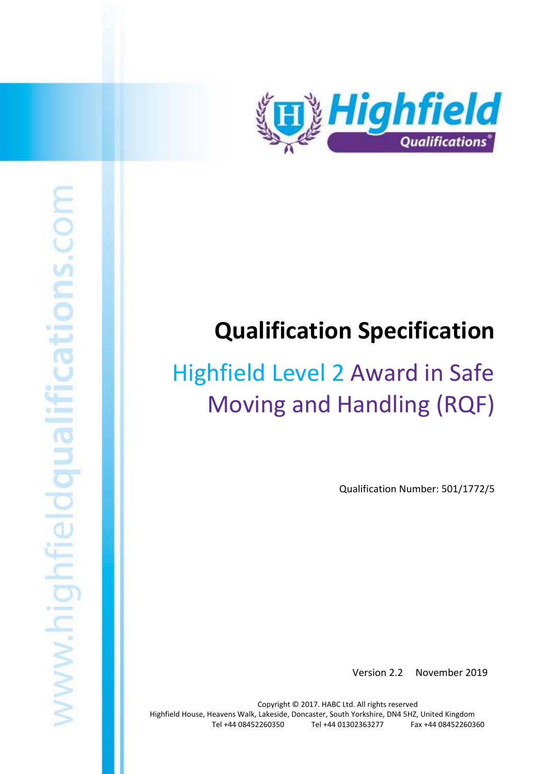

# tions.com www.highfieldqualifi

# **Qualification Specification**

# Highfield Level 2 Award in Safe Moving and Handling (RQF)

Qualification Number: 501/1772/5

Version 2.2 November 2019

Copyright © 2017. HABC Ltd. All rights reserved Highfield House, Heavens Walk, Lakeside, Doncaster, South Yorkshire, DN4 5HZ, United Kingdom Tel +44 08452260350 Tel +44 01302363277 Fax +44 08452260360

Highfield Level 2 Award in Safe Moving and Handling (RQF) 1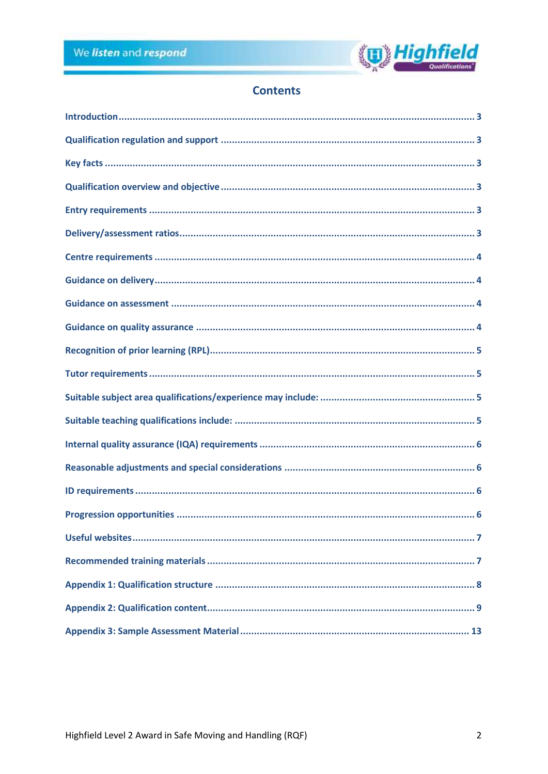

# **Contents**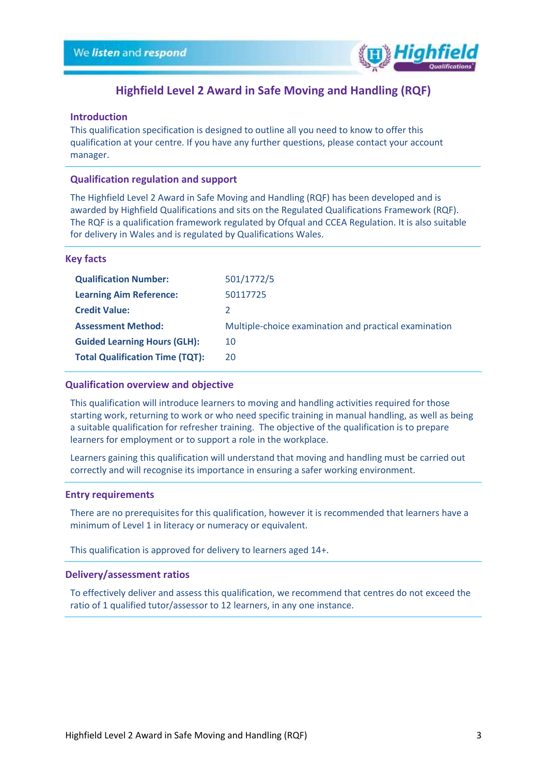

## **Highfield Level 2 Award in Safe Moving and Handling (RQF)**

### <span id="page-2-0"></span>**Introduction**

This qualification specification is designed to outline all you need to know to offer this qualification at your centre. If you have any further questions, please contact your account manager.

### <span id="page-2-1"></span>**Qualification regulation and support**

The Highfield Level 2 Award in Safe Moving and Handling (RQF) has been developed and is awarded by Highfield Qualifications and sits on the Regulated Qualifications Framework (RQF). The RQF is a qualification framework regulated by Ofqual and CCEA Regulation. It is also suitable for delivery in Wales and is regulated by Qualifications Wales.

### <span id="page-2-2"></span>**Key facts**

| <b>Qualification Number:</b>           | 501/1772/5                                            |
|----------------------------------------|-------------------------------------------------------|
| <b>Learning Aim Reference:</b>         | 50117725                                              |
| <b>Credit Value:</b>                   |                                                       |
| <b>Assessment Method:</b>              | Multiple-choice examination and practical examination |
| <b>Guided Learning Hours (GLH):</b>    | 10                                                    |
| <b>Total Qualification Time (TQT):</b> | 20                                                    |

### <span id="page-2-3"></span>**Qualification overview and objective**

This qualification will introduce learners to moving and handling activities required for those starting work, returning to work or who need specific training in manual handling, as well as being a suitable qualification for refresher training. The objective of the qualification is to prepare learners for employment or to support a role in the workplace.

Learners gaining this qualification will understand that moving and handling must be carried out correctly and will recognise its importance in ensuring a safer working environment.

### <span id="page-2-4"></span>**Entry requirements**

There are no prerequisites for this qualification, however it is recommended that learners have a minimum of Level 1 in literacy or numeracy or equivalent.

This qualification is approved for delivery to learners aged 14+.

### <span id="page-2-5"></span>**Delivery/assessment ratios**

To effectively deliver and assess this qualification, we recommend that centres do not exceed the ratio of 1 qualified tutor/assessor to 12 learners, in any one instance.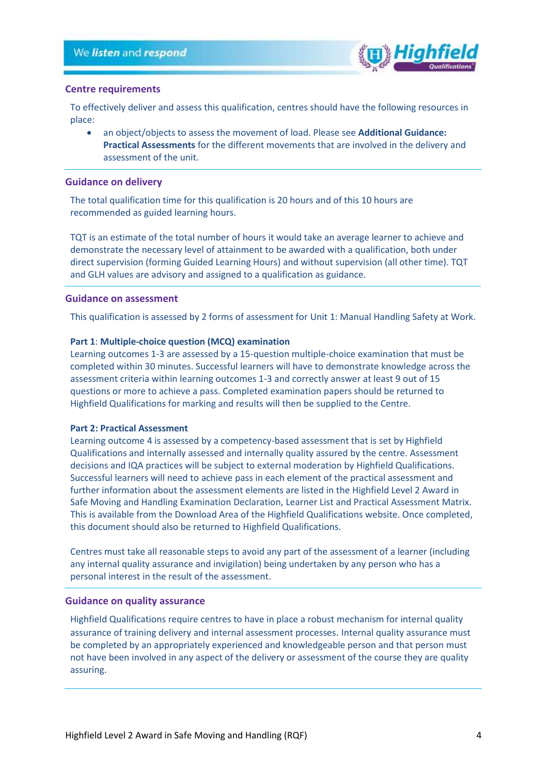

### <span id="page-3-0"></span>**Centre requirements**

To effectively deliver and assess this qualification, centres should have the following resources in place:

• an object/objects to assess the movement of load. Please see **Additional Guidance: Practical Assessments** for the different movements that are involved in the delivery and assessment of the unit.

### <span id="page-3-1"></span>**Guidance on delivery**

The total qualification time for this qualification is 20 hours and of this 10 hours are recommended as guided learning hours.

TQT is an estimate of the total number of hours it would take an average learner to achieve and demonstrate the necessary level of attainment to be awarded with a qualification, both under direct supervision (forming Guided Learning Hours) and without supervision (all other time). TQT and GLH values are advisory and assigned to a qualification as guidance.

### <span id="page-3-2"></span>**Guidance on assessment**

This qualification is assessed by 2 forms of assessment for Unit 1: Manual Handling Safety at Work.

### **Part 1**: **Multiple-choice question (MCQ) examination**

Learning outcomes 1-3 are assessed by a 15-question multiple-choice examination that must be completed within 30 minutes. Successful learners will have to demonstrate knowledge across the assessment criteria within learning outcomes 1-3 and correctly answer at least 9 out of 15 questions or more to achieve a pass. Completed examination papers should be returned to Highfield Qualifications for marking and results will then be supplied to the Centre.

### **Part 2: Practical Assessment**

Learning outcome 4 is assessed by a competency-based assessment that is set by Highfield Qualifications and internally assessed and internally quality assured by the centre. Assessment decisions and IQA practices will be subject to external moderation by Highfield Qualifications. Successful learners will need to achieve pass in each element of the practical assessment and further information about the assessment elements are listed in the Highfield Level 2 Award in Safe Moving and Handling Examination Declaration, Learner List and Practical Assessment Matrix. This is available from the Download Area of the Highfield Qualifications website. Once completed, this document should also be returned to Highfield Qualifications.

Centres must take all reasonable steps to avoid any part of the assessment of a learner (including any internal quality assurance and invigilation) being undertaken by any person who has a personal interest in the result of the assessment.

### <span id="page-3-3"></span>**Guidance on quality assurance**

Highfield Qualifications require centres to have in place a robust mechanism for internal quality assurance of training delivery and internal assessment processes. Internal quality assurance must be completed by an appropriately experienced and knowledgeable person and that person must not have been involved in any aspect of the delivery or assessment of the course they are quality assuring.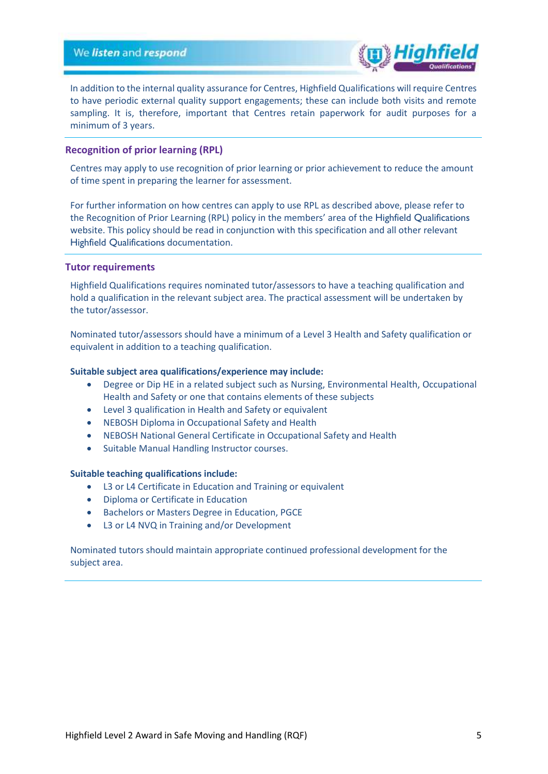

In addition to the internal quality assurance for Centres, Highfield Qualifications will require Centres to have periodic external quality support engagements; these can include both visits and remote sampling. It is, therefore, important that Centres retain paperwork for audit purposes for a minimum of 3 years.

### <span id="page-4-0"></span>**Recognition of prior learning (RPL)**

Centres may apply to use recognition of prior learning or prior achievement to reduce the amount of time spent in preparing the learner for assessment.

For further information on how centres can apply to use RPL as described above, please refer to the Recognition of Prior Learning (RPL) policy in the members' area of the Highfield Qualifications website. This policy should be read in conjunction with this specification and all other relevant Highfield Qualifications documentation.

### <span id="page-4-1"></span>**Tutor requirements**

Highfield Qualifications requires nominated tutor/assessors to have a teaching qualification and hold a qualification in the relevant subject area. The practical assessment will be undertaken by the tutor/assessor.

Nominated tutor/assessors should have a minimum of a Level 3 Health and Safety qualification or equivalent in addition to a teaching qualification.

### <span id="page-4-2"></span>**Suitable subject area qualifications/experience may include:**

- Degree or Dip HE in a related subject such as Nursing, Environmental Health, Occupational Health and Safety or one that contains elements of these subjects
- Level 3 qualification in Health and Safety or equivalent
- NEBOSH Diploma in Occupational Safety and Health
- NEBOSH National General Certificate in Occupational Safety and Health
- Suitable Manual Handling Instructor courses.

### <span id="page-4-3"></span>**Suitable teaching qualifications include:**

- L3 or L4 Certificate in Education and Training or equivalent
- Diploma or Certificate in Education
- Bachelors or Masters Degree in Education, PGCE
- L3 or L4 NVQ in Training and/or Development

Nominated tutors should maintain appropriate continued professional development for the subject area.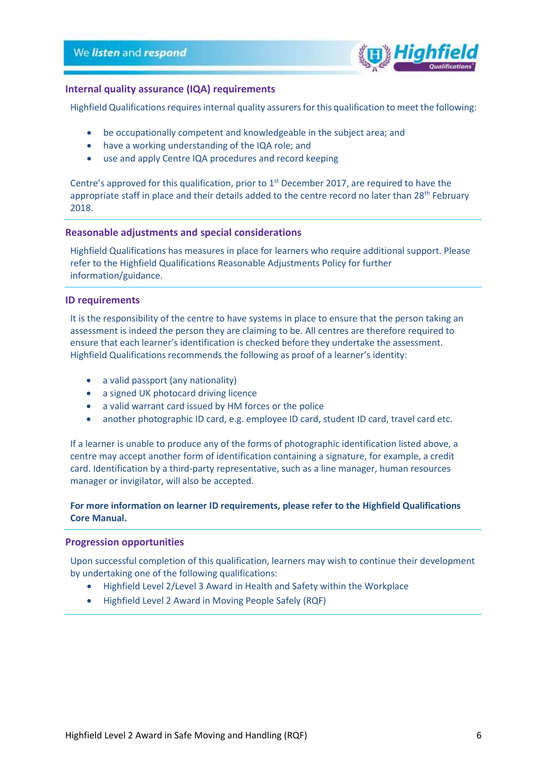

### <span id="page-5-0"></span>**Internal quality assurance (IQA) requirements**

Highfield Qualifications requires internal quality assurers for this qualification to meet the following:

- be occupationally competent and knowledgeable in the subject area; and
- have a working understanding of the IQA role; and
- use and apply Centre IQA procedures and record keeping

Centre's approved for this qualification, prior to  $1<sup>st</sup>$  December 2017, are required to have the appropriate staff in place and their details added to the centre record no later than 28<sup>th</sup> February 2018.

### <span id="page-5-1"></span>**Reasonable adjustments and special considerations**

Highfield Qualifications has measures in place for learners who require additional support. Please refer to the Highfield Qualifications Reasonable Adjustments Policy for further information/guidance.

### <span id="page-5-2"></span>**ID requirements**

It is the responsibility of the centre to have systems in place to ensure that the person taking an assessment is indeed the person they are claiming to be. All centres are therefore required to ensure that each learner's identification is checked before they undertake the assessment. Highfield Qualifications recommends the following as proof of a learner's identity:

- a valid passport (any nationality)
- a signed UK photocard driving licence
- a valid warrant card issued by HM forces or the police
- another photographic ID card, e.g. employee ID card, student ID card, travel card etc.

If a learner is unable to produce any of the forms of photographic identification listed above, a centre may accept another form of identification containing a signature, for example, a credit card. Identification by a third-party representative, such as a line manager, human resources manager or invigilator, will also be accepted.

### **For more information on learner ID requirements, please refer to the Highfield Qualifications Core Manual.**

### <span id="page-5-3"></span>**Progression opportunities**

Upon successful completion of this qualification, learners may wish to continue their development by undertaking one of the following qualifications:

- Highfield Level 2/Level 3 Award in Health and Safety within the Workplace
- Highfield Level 2 Award in Moving People Safely (RQF)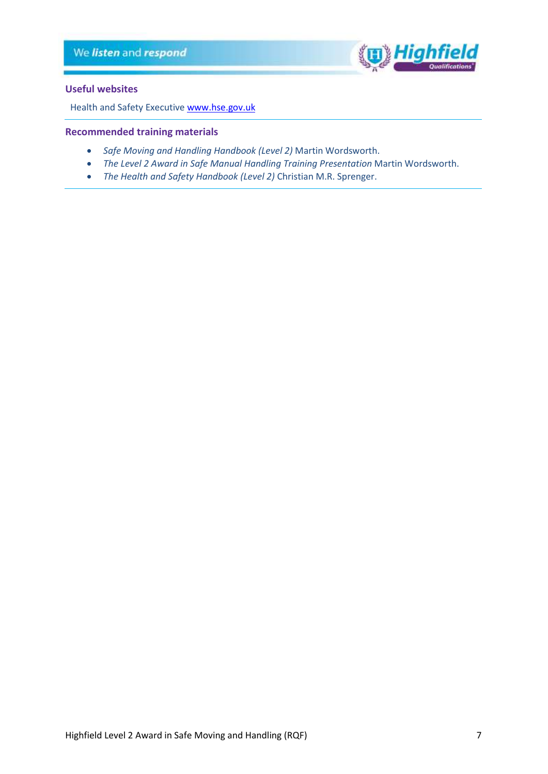

### <span id="page-6-0"></span>**Useful websites**

Health and Safety Executive [www.hse.gov.uk](http://www.hse.gov.uk/)

### <span id="page-6-1"></span>**Recommended training materials**

- *Safe Moving and Handling Handbook (Level 2)* Martin Wordsworth.
- *The Level 2 Award in Safe Manual Handling Training Presentation* Martin Wordsworth.
- *The Health and Safety Handbook (Level 2)* Christian M.R. Sprenger.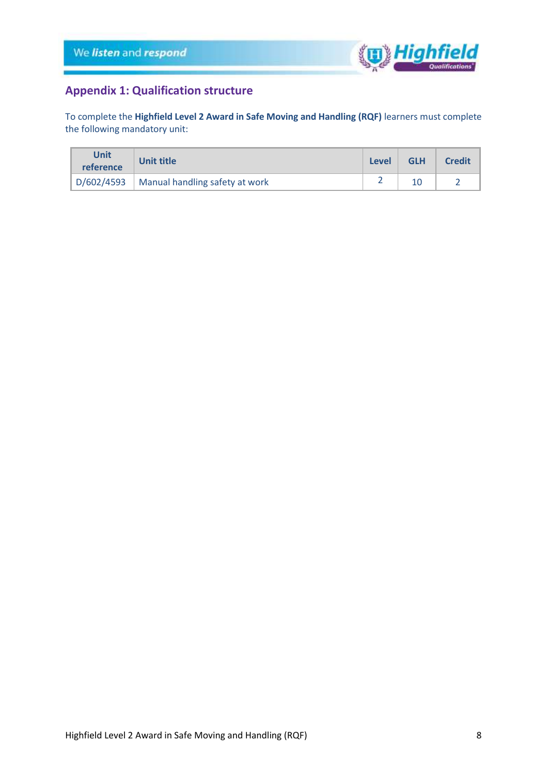

# <span id="page-7-0"></span>**Appendix 1: Qualification structure**

To complete the **Highfield Level 2 Award in Safe Moving and Handling (RQF)** learners must complete the following mandatory unit:

| <b>Unit</b><br>reference | <b>Unit title</b>                             |  | <b>GLH</b> | <b>Credit</b> |
|--------------------------|-----------------------------------------------|--|------------|---------------|
|                          | $D/602/4593$   Manual handling safety at work |  |            |               |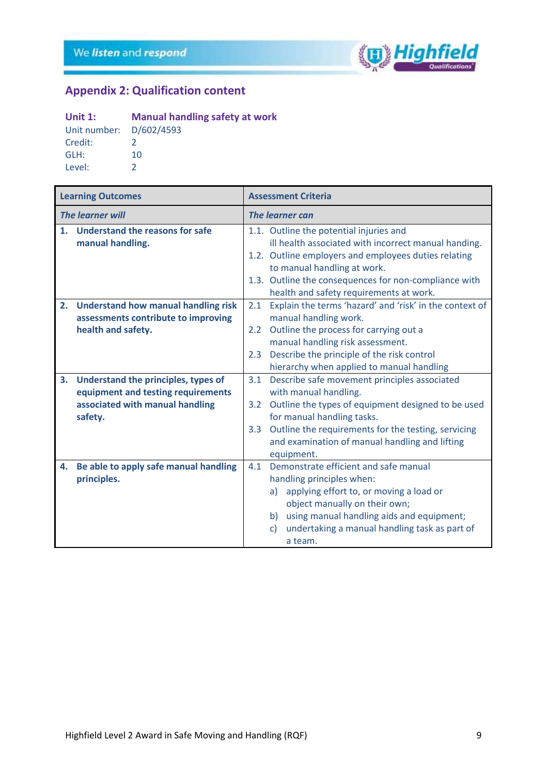

# <span id="page-8-0"></span>**Appendix 2: Qualification content**

# **Unit 1: Manual handling safety at work**<br>Unit number:  $D/602/4593$

| Unit number: D/602/4593 |               |
|-------------------------|---------------|
| Credit:                 | 2             |
| GLH:                    | 10            |
| Level:                  | $\mathcal{L}$ |

|                | <b>Learning Outcomes</b>                                                                                                |                                | <b>Assessment Criteria</b>                                                                                                                                                                                                                                                                 |
|----------------|-------------------------------------------------------------------------------------------------------------------------|--------------------------------|--------------------------------------------------------------------------------------------------------------------------------------------------------------------------------------------------------------------------------------------------------------------------------------------|
|                | <b>The learner will</b>                                                                                                 |                                | The learner can                                                                                                                                                                                                                                                                            |
| 1 <sub>1</sub> | <b>Understand the reasons for safe</b><br>manual handling.                                                              |                                | 1.1. Outline the potential injuries and<br>ill health associated with incorrect manual handing.<br>1.2. Outline employers and employees duties relating<br>to manual handling at work.<br>1.3. Outline the consequences for non-compliance with<br>health and safety requirements at work. |
| 2.             | <b>Understand how manual handling risk</b><br>assessments contribute to improving<br>health and safety.                 | 2.1<br>$2.2^{\circ}$<br>2.3    | Explain the terms 'hazard' and 'risk' in the context of<br>manual handling work.<br>Outline the process for carrying out a<br>manual handling risk assessment.<br>Describe the principle of the risk control<br>hierarchy when applied to manual handling                                  |
| 3.             | Understand the principles, types of<br>equipment and testing requirements<br>associated with manual handling<br>safety. | 3.1<br>3.2<br>3.3 <sub>2</sub> | Describe safe movement principles associated<br>with manual handling.<br>Outline the types of equipment designed to be used<br>for manual handling tasks.<br>Outline the requirements for the testing, servicing<br>and examination of manual handling and lifting<br>equipment.           |
| 4.             | Be able to apply safe manual handling<br>principles.                                                                    | 4.1                            | Demonstrate efficient and safe manual<br>handling principles when:<br>applying effort to, or moving a load or<br>a)<br>object manually on their own;<br>b) using manual handling aids and equipment;<br>undertaking a manual handling task as part of<br>$\mathsf{C}$<br>a team.           |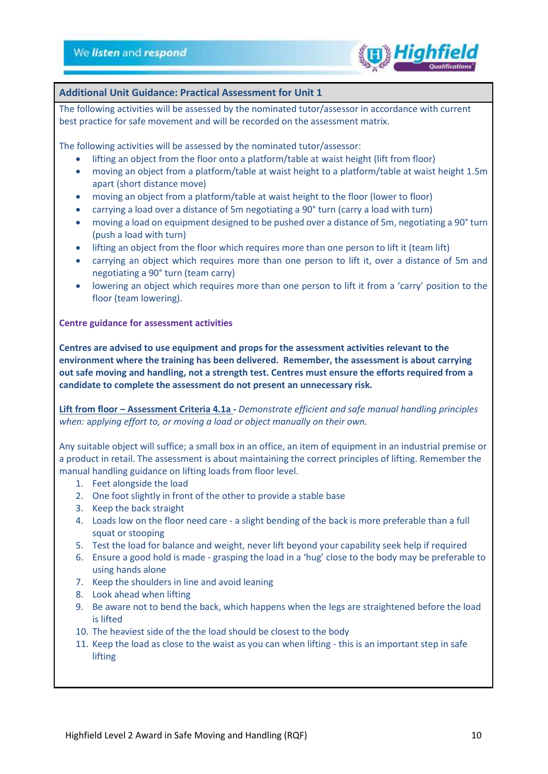

### **Additional Unit Guidance: Practical Assessment for Unit 1**

The following activities will be assessed by the nominated tutor/assessor in accordance with current best practice for safe movement and will be recorded on the assessment matrix.

The following activities will be assessed by the nominated tutor/assessor:

- lifting an object from the floor onto a platform/table at waist height (lift from floor)
- moving an object from a platform/table at waist height to a platform/table at waist height 1.5m apart (short distance move)
- moving an object from a platform/table at waist height to the floor (lower to floor)
- carrying a load over a distance of 5m negotiating a 90° turn (carry a load with turn)
- moving a load on equipment designed to be pushed over a distance of 5m, negotiating a 90° turn (push a load with turn)
- lifting an object from the floor which requires more than one person to lift it (team lift)
- carrying an object which requires more than one person to lift it, over a distance of 5m and negotiating a 90° turn (team carry)
- lowering an object which requires more than one person to lift it from a 'carry' position to the floor (team lowering).

**Centre guidance for assessment activities**

**Centres are advised to use equipment and props for the assessment activities relevant to the environment where the training has been delivered. Remember, the assessment is about carrying out safe moving and handling, not a strength test. Centres must ensure the efforts required from a candidate to complete the assessment do not present an unnecessary risk.**

**Lift from floor – Assessment Criteria 4.1a -** *Demonstrate efficient and safe manual handling principles when:* a*pplying effort to, or moving a load or object manually on their own.*

Any suitable object will suffice; a small box in an office, an item of equipment in an industrial premise or a product in retail. The assessment is about maintaining the correct principles of lifting. Remember the manual handling guidance on lifting loads from floor level.

- 1. Feet alongside the load
- 2. One foot slightly in front of the other to provide a stable base
- 3. Keep the back straight
- 4. Loads low on the floor need care a slight bending of the back is more preferable than a full squat or stooping
- 5. Test the load for balance and weight, never lift beyond your capability seek help if required
- 6. Ensure a good hold is made grasping the load in a 'hug' close to the body may be preferable to using hands alone
- 7. Keep the shoulders in line and avoid leaning
- 8. Look ahead when lifting
- 9. Be aware not to bend the back, which happens when the legs are straightened before the load is lifted
- 10. The heaviest side of the the load should be closest to the body
- 11. Keep the load as close to the waist as you can when lifting this is an important step in safe lifting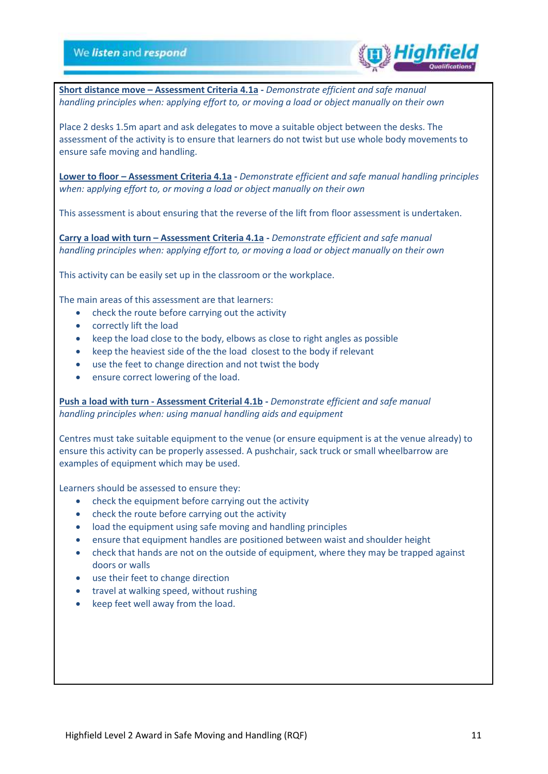

**Short distance move – Assessment Criteria 4.1a -** *Demonstrate efficient and safe manual handling principles when:* a*pplying effort to, or moving a load or object manually on their own*

Place 2 desks 1.5m apart and ask delegates to move a suitable object between the desks. The assessment of the activity is to ensure that learners do not twist but use whole body movements to ensure safe moving and handling.

**Lower to floor – Assessment Criteria 4.1a -** *Demonstrate efficient and safe manual handling principles when:* a*pplying effort to, or moving a load or object manually on their own*

This assessment is about ensuring that the reverse of the lift from floor assessment is undertaken.

**Carry a load with turn – Assessment Criteria 4.1a -** *Demonstrate efficient and safe manual handling principles when:* a*pplying effort to, or moving a load or object manually on their own*

This activity can be easily set up in the classroom or the workplace.

The main areas of this assessment are that learners:

- check the route before carrying out the activity
- correctly lift the load
- keep the load close to the body, elbows as close to right angles as possible
- keep the heaviest side of the the load closest to the body if relevant
- use the feet to change direction and not twist the body
- ensure correct lowering of the load.

**Push a load with turn - Assessment Criterial 4.1b -** *Demonstrate efficient and safe manual handling principles when: using manual handling aids and equipment*

Centres must take suitable equipment to the venue (or ensure equipment is at the venue already) to ensure this activity can be properly assessed. A pushchair, sack truck or small wheelbarrow are examples of equipment which may be used.

Learners should be assessed to ensure they:

- check the equipment before carrying out the activity
- check the route before carrying out the activity
- load the equipment using safe moving and handling principles
- ensure that equipment handles are positioned between waist and shoulder height
- check that hands are not on the outside of equipment, where they may be trapped against doors or walls
- use their feet to change direction
- travel at walking speed, without rushing
- keep feet well away from the load.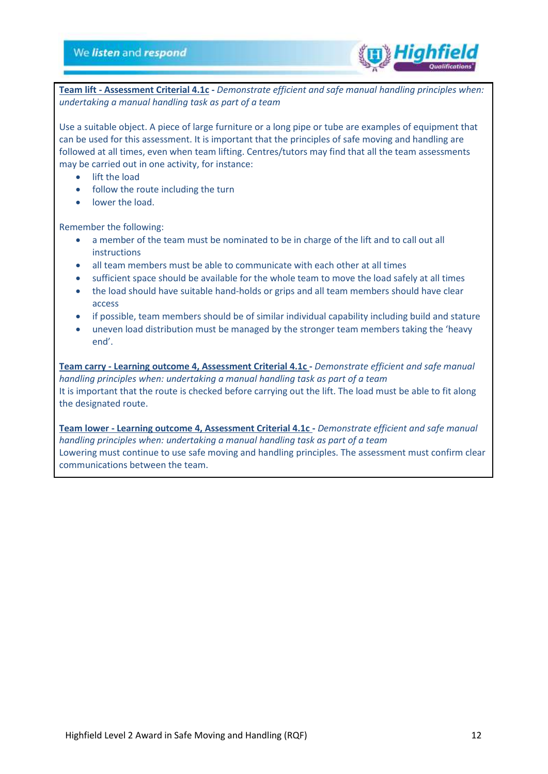

**Team lift - Assessment Criterial 4.1c -** *Demonstrate efficient and safe manual handling principles when: undertaking a manual handling task as part of a team*

Use a suitable object. A piece of large furniture or a long pipe or tube are examples of equipment that can be used for this assessment. It is important that the principles of safe moving and handling are followed at all times, even when team lifting. Centres/tutors may find that all the team assessments may be carried out in one activity, for instance:

- lift the load
- follow the route including the turn
- lower the load.

Remember the following:

- a member of the team must be nominated to be in charge of the lift and to call out all instructions
- all team members must be able to communicate with each other at all times
- sufficient space should be available for the whole team to move the load safely at all times
- the load should have suitable hand-holds or grips and all team members should have clear access
- if possible, team members should be of similar individual capability including build and stature
- uneven load distribution must be managed by the stronger team members taking the 'heavy end'.

**Team carry - Learning outcome 4, Assessment Criterial 4.1c -** *Demonstrate efficient and safe manual handling principles when: undertaking a manual handling task as part of a team* It is important that the route is checked before carrying out the lift. The load must be able to fit along the designated route.

**Team lower - Learning outcome 4, Assessment Criterial 4.1c -** *Demonstrate efficient and safe manual handling principles when: undertaking a manual handling task as part of a team* Lowering must continue to use safe moving and handling principles. The assessment must confirm clear communications between the team.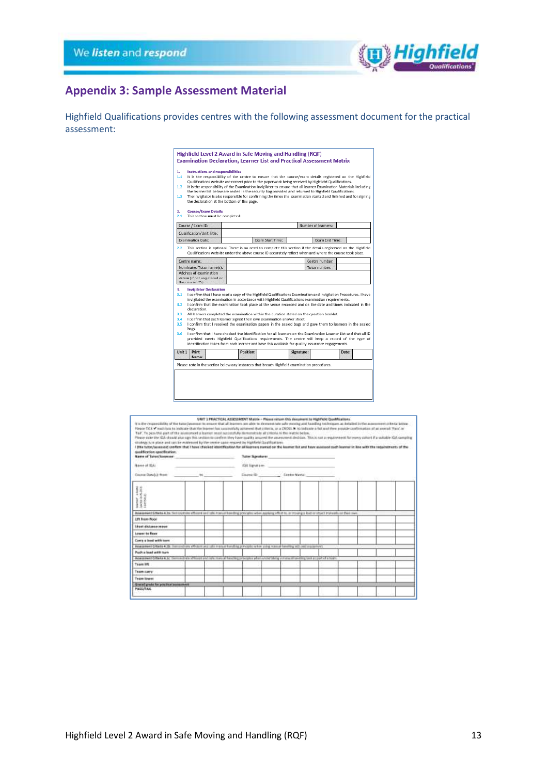

# <span id="page-12-0"></span>**Appendix 3: Sample Assessment Material**

Highfield Qualifications provides centres with the following assessment document for the practical assessment:

| 1.<br>1.1<br>1.2<br>1.3        |                                                                                  | Instructions and responsibilities<br>the declaration at the bottom of this page. |           | It is the responsibility of the centre to ensure that the course/exam details registered on the Highfield<br>Qualifications website are correct prior to the paperwork being received by Highfield Qualifications.<br>It is the responsibility of the Examination Invigilator to ensure that all learner Examination Materials including<br>the learner list below are sealed in the security bag provided and returned to Highfield Qualifications.<br>The Invigilator is also responsible for confirming the times the examination started and finished and for signing |            |                     |       |  |
|--------------------------------|----------------------------------------------------------------------------------|----------------------------------------------------------------------------------|-----------|---------------------------------------------------------------------------------------------------------------------------------------------------------------------------------------------------------------------------------------------------------------------------------------------------------------------------------------------------------------------------------------------------------------------------------------------------------------------------------------------------------------------------------------------------------------------------|------------|---------------------|-------|--|
| 2.<br>2.1                      | <b>Course/Exam Details</b>                                                       | This section must be completed:                                                  |           |                                                                                                                                                                                                                                                                                                                                                                                                                                                                                                                                                                           |            |                     |       |  |
|                                | Course / Exam ID:                                                                |                                                                                  |           |                                                                                                                                                                                                                                                                                                                                                                                                                                                                                                                                                                           |            | Number of learners: |       |  |
|                                | Qualification/Unit Title:                                                        |                                                                                  |           |                                                                                                                                                                                                                                                                                                                                                                                                                                                                                                                                                                           |            |                     |       |  |
|                                | <b>Examination Date:</b>                                                         |                                                                                  |           | Exam Start Time:                                                                                                                                                                                                                                                                                                                                                                                                                                                                                                                                                          |            | Exam End Time:      |       |  |
|                                | Centre name:                                                                     |                                                                                  |           | Qualifications website under the above course ID accurately reflect when and where the course took place.                                                                                                                                                                                                                                                                                                                                                                                                                                                                 |            | Centre number:      |       |  |
|                                | Nominated Tutor name(s):                                                         |                                                                                  |           |                                                                                                                                                                                                                                                                                                                                                                                                                                                                                                                                                                           |            | Tutor number:       |       |  |
| 3.<br>3.1<br>3.2               | venue (if not registered on<br>the course ID):<br><b>Invigilator Declaration</b> |                                                                                  |           | I confirm that I have read a copy of the Highfield Qualifications Examination and Invigilation Procedures. I have<br>invigilated the examination in accordance with Highfield Qualifications examination requirements.<br>I confirm that the examination took place at the venue recorded and on the date and times indicated in the                                                                                                                                                                                                                                      |            |                     |       |  |
| 3.3 <sub>1</sub><br>3.4<br>3.5 | declaration.<br>bags.                                                            |                                                                                  |           | All learners completed the examination within the duration stated on the question booklet.<br>I confirm that each learner signed their own examination answer sheet.<br>I confirm that I received the examination papers in the sealed bags and gave them to learners in the sealed                                                                                                                                                                                                                                                                                       |            |                     |       |  |
| 3.6                            |                                                                                  |                                                                                  |           | I confirm that I have checked the identification for all learners on the Examination Learner List and that all ID<br>provided meets Highfield Qualifications requirements. The centre will keep a record of the type of<br>identification taken from each learner and have this available for quality assurance engagements.                                                                                                                                                                                                                                              |            |                     |       |  |
| Unit 1                         | Print<br>Name:                                                                   |                                                                                  | Position: |                                                                                                                                                                                                                                                                                                                                                                                                                                                                                                                                                                           | Signature: |                     | Date: |  |
|                                |                                                                                  |                                                                                  |           | Please note in the section below any instances that breach Highfield examination procedures.                                                                                                                                                                                                                                                                                                                                                                                                                                                                              |            |                     |       |  |

| It is the responsibility of the tutar/assesses to assume that all learners are able to demonstrate safe meeting and handling to beligave as included in the assessment criteria boxes<br>Please TICK'Y wash has to indicate that the leaseer has successfully achieved Hust criteria, or a CROSS. In to individe a fail and then provide continuation of an overall "hard let<br>Tail". To pass this part of the accessore a leavest rest second Ay demonstrate all criteria in the matrix below.<br>Please yiele the IOA shauld also ups fisk section to confront they have toutility assumed the assessment districts. This is rust a requirement for easy color! If a suitable IOA camping<br>strategy is in alless and can be evidenced by the center upon request by Highlight Qualifications.<br>i jthe tutor/assessed confirm that I have checked identification for all learness named on the learner for and have assessed much learner in line with the seguiraments of the<br>qualification qualification.<br><b>Name of Takes/Assesses</b> | UNIT 1 PRACTICAL ASSESSMENT Marrie - Please network this description is Highfield Qualifications.<br>Tutter Stonature:        |  |  |
|--------------------------------------------------------------------------------------------------------------------------------------------------------------------------------------------------------------------------------------------------------------------------------------------------------------------------------------------------------------------------------------------------------------------------------------------------------------------------------------------------------------------------------------------------------------------------------------------------------------------------------------------------------------------------------------------------------------------------------------------------------------------------------------------------------------------------------------------------------------------------------------------------------------------------------------------------------------------------------------------------------------------------------------------------------|-------------------------------------------------------------------------------------------------------------------------------|--|--|
| Name of TIA                                                                                                                                                                                                                                                                                                                                                                                                                                                                                                                                                                                                                                                                                                                                                                                                                                                                                                                                                                                                                                            | <b>IGA lignature</b>                                                                                                          |  |  |
|                                                                                                                                                                                                                                                                                                                                                                                                                                                                                                                                                                                                                                                                                                                                                                                                                                                                                                                                                                                                                                                        |                                                                                                                               |  |  |
|                                                                                                                                                                                                                                                                                                                                                                                                                                                                                                                                                                                                                                                                                                                                                                                                                                                                                                                                                                                                                                                        |                                                                                                                               |  |  |
| Assessed DVaria 4.bs Sensythias officers and law manuation this procedure when assigns affect to, an moving a lost or stated insteadily on their ewis                                                                                                                                                                                                                                                                                                                                                                                                                                                                                                                                                                                                                                                                                                                                                                                                                                                                                                  |                                                                                                                               |  |  |
| Lift from Roor                                                                                                                                                                                                                                                                                                                                                                                                                                                                                                                                                                                                                                                                                                                                                                                                                                                                                                                                                                                                                                         |                                                                                                                               |  |  |
| <b>Shoet distance reason</b>                                                                                                                                                                                                                                                                                                                                                                                                                                                                                                                                                                                                                                                                                                                                                                                                                                                                                                                                                                                                                           |                                                                                                                               |  |  |
| Lower to Heer                                                                                                                                                                                                                                                                                                                                                                                                                                                                                                                                                                                                                                                                                                                                                                                                                                                                                                                                                                                                                                          |                                                                                                                               |  |  |
| Corra a load with long                                                                                                                                                                                                                                                                                                                                                                                                                                                                                                                                                                                                                                                                                                                                                                                                                                                                                                                                                                                                                                 |                                                                                                                               |  |  |
| Assistant Ottets 4.15: Terrorishing (Right ad Life manual kending process) while using resource basiling and another processive                                                                                                                                                                                                                                                                                                                                                                                                                                                                                                                                                                                                                                                                                                                                                                                                                                                                                                                        |                                                                                                                               |  |  |
| Posts a lead with have                                                                                                                                                                                                                                                                                                                                                                                                                                                                                                                                                                                                                                                                                                                                                                                                                                                                                                                                                                                                                                 |                                                                                                                               |  |  |
|                                                                                                                                                                                                                                                                                                                                                                                                                                                                                                                                                                                                                                                                                                                                                                                                                                                                                                                                                                                                                                                        | Adaptment Ortails 4.5c (Service Pala (Response) (als maked having provides which undertaking a manual funding task at a team) |  |  |
| Taxes UR                                                                                                                                                                                                                                                                                                                                                                                                                                                                                                                                                                                                                                                                                                                                                                                                                                                                                                                                                                                                                                               |                                                                                                                               |  |  |
| Team carry                                                                                                                                                                                                                                                                                                                                                                                                                                                                                                                                                                                                                                                                                                                                                                                                                                                                                                                                                                                                                                             |                                                                                                                               |  |  |
| <b>Team Iswas</b>                                                                                                                                                                                                                                                                                                                                                                                                                                                                                                                                                                                                                                                                                                                                                                                                                                                                                                                                                                                                                                      |                                                                                                                               |  |  |
| <b>Course grade has precise a consense of</b><br>PASS/FAIL                                                                                                                                                                                                                                                                                                                                                                                                                                                                                                                                                                                                                                                                                                                                                                                                                                                                                                                                                                                             |                                                                                                                               |  |  |